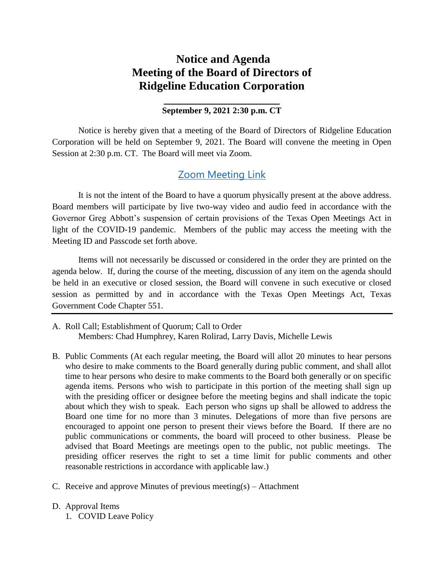## **Notice and Agenda Meeting of the Board of Directors of Ridgeline Education Corporation**

## **\_\_\_\_\_\_\_\_\_\_\_\_\_\_\_\_\_\_\_\_ September 9, 2021 2:30 p.m. CT**

Notice is hereby given that a meeting of the Board of Directors of Ridgeline Education Corporation will be held on September 9, 2021. The Board will convene the meeting in Open Session at 2:30 p.m. CT. The Board will meet via Zoom.

## **[Zoom Meeting Link](https://zoom.us/j/93837893715?pwd=RGJieWlFMHE5YU84T3IzQVo4QlhjZz09)**

It is not the intent of the Board to have a quorum physically present at the above address. Board members will participate by live two-way video and audio feed in accordance with the Governor Greg Abbott's suspension of certain provisions of the Texas Open Meetings Act in light of the COVID-19 pandemic. Members of the public may access the meeting with the Meeting ID and Passcode set forth above.

Items will not necessarily be discussed or considered in the order they are printed on the agenda below. If, during the course of the meeting, discussion of any item on the agenda should be held in an executive or closed session, the Board will convene in such executive or closed session as permitted by and in accordance with the Texas Open Meetings Act, Texas Government Code Chapter 551.

- A. Roll Call; Establishment of Quorum; Call to Order Members: Chad Humphrey, Karen Rolirad, Larry Davis, Michelle Lewis
- B. Public Comments (At each regular meeting, the Board will allot 20 minutes to hear persons who desire to make comments to the Board generally during public comment, and shall allot time to hear persons who desire to make comments to the Board both generally or on specific agenda items. Persons who wish to participate in this portion of the meeting shall sign up with the presiding officer or designee before the meeting begins and shall indicate the topic about which they wish to speak. Each person who signs up shall be allowed to address the Board one time for no more than 3 minutes. Delegations of more than five persons are encouraged to appoint one person to present their views before the Board. If there are no public communications or comments, the board will proceed to other business. Please be advised that Board Meetings are meetings open to the public, not public meetings. The presiding officer reserves the right to set a time limit for public comments and other reasonable restrictions in accordance with applicable law.)
- C. Receive and approve Minutes of previous meeting(s) Attachment
- D. Approval Items
	- 1. COVID Leave Policy